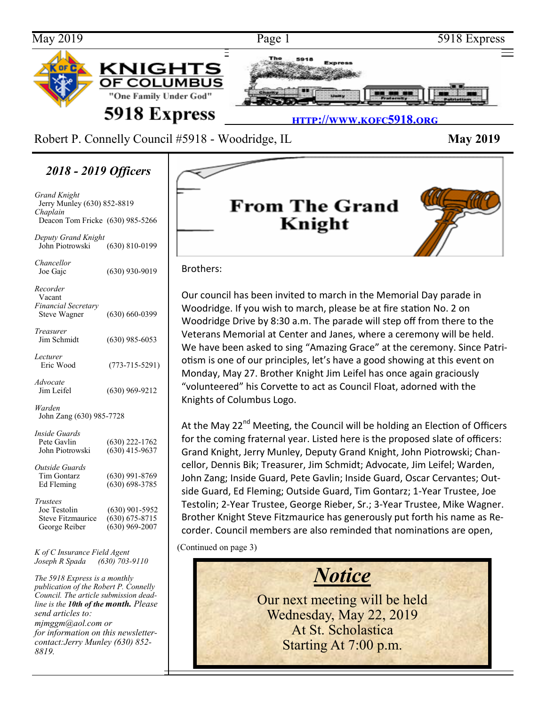

Robert P. Connelly Council #5918 - Woodridge, IL **May 2019** 

*2018 - 2019 Officers*

*Grand Knight* Jerry Munley (630) 852-8819 *Chaplain* Deacon Tom Fricke (630) 985-5266

*Deputy Grand Knight* John Piotrowski (630) 810-0199

| Chancellor<br>Joe Gajc                                                       | $(630)$ 930-9019                                           |
|------------------------------------------------------------------------------|------------------------------------------------------------|
| Recorder<br>Vacant                                                           |                                                            |
| <b>Financial Secretary</b><br><b>Steve Wagner</b>                            | $(630) 660 - 0399$                                         |
| Treasurer<br>Jim Schmidt                                                     | $(630)$ 985-6053                                           |
| Lecturer<br>Eric Wood                                                        | $(773 - 715 - 5291)$                                       |
| Advocate<br>Jim Leifel                                                       | $(630)$ 969-9212                                           |
| Warden<br>John Zang (630) 985-7728                                           |                                                            |
| <i>Inside Guards</i><br>Pete Gavlin<br>John Piotrowski                       | (630) 222-1762<br>$(630)$ 415-9637                         |
| Outside Guards<br>Tim Gontarz<br>Ed Fleming                                  | $(630)$ 991-8769<br>$(630) 698 - 3785$                     |
| <b>Trustees</b><br>Joe Testolin<br><b>Steve Fitzmaurice</b><br>George Reiber | $(630)$ 901-5952<br>$(630) 675 - 8715$<br>$(630)$ 969-2007 |

*K of C Insurance Field Agent Joseph R Spada (630) 703-9110*

*The 5918 Express is a monthly publication of the Robert P. Connelly Council. The article submission deadline is the 10th of the month. Please send articles to: mjmggm@aol.com or for information on this newslettercontact:Jerry Munley (630) 852- 8819.*



#### Brothers:

Our council has been invited to march in the Memorial Day parade in Woodridge. If you wish to march, please be at fire station No. 2 on Woodridge Drive by 8:30 a.m. The parade will step off from there to the Veterans Memorial at Center and Janes, where a ceremony will be held. We have been asked to sing "Amazing Grace" at the ceremony. Since Patriotism is one of our principles, let's have a good showing at this event on Monday, May 27. Brother Knight Jim Leifel has once again graciously "volunteered" his Corvette to act as Council Float, adorned with the Knights of Columbus Logo.

At the May 22<sup>nd</sup> Meeting, the Council will be holding an Election of Officers for the coming fraternal year. Listed here is the proposed slate of officers: Grand Knight, Jerry Munley, Deputy Grand Knight, John Piotrowski; Chancellor, Dennis Bik; Treasurer, Jim Schmidt; Advocate, Jim Leifel; Warden, John Zang; Inside Guard, Pete Gavlin; Inside Guard, Oscar Cervantes; Outside Guard, Ed Fleming; Outside Guard, Tim Gontarz; 1-Year Trustee, Joe Testolin; 2-Year Trustee, George Rieber, Sr.; 3-Year Trustee, Mike Wagner. Brother Knight Steve Fitzmaurice has generously put forth his name as Recorder. Council members are also reminded that nominations are open,

(Continued on page 3)

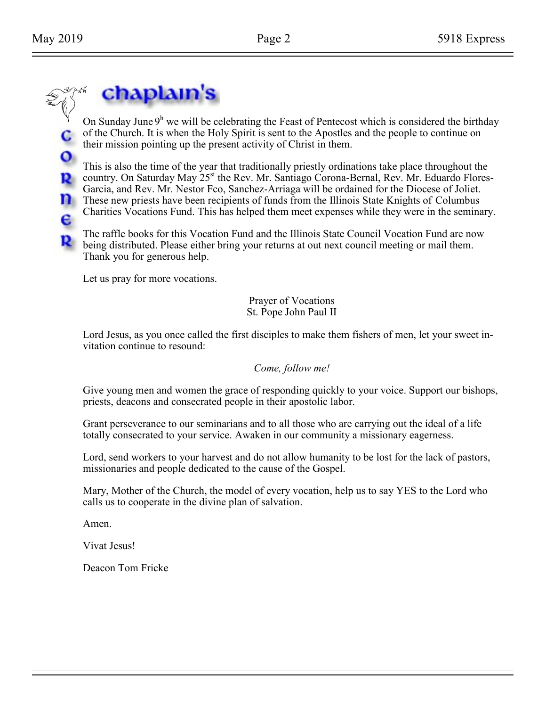$\mathbf{o}$ 

P.

е

## chaplain's

On Sunday June  $9<sup>h</sup>$  we will be celebrating the Feast of Pentecost which is considered the birthday of the Church. It is when the Holy Spirit is sent to the Apostles and the people to continue on their mission pointing up the present activity of Christ in them.

This is also the time of the year that traditionally priestly ordinations take place throughout the country. On Saturday May 25<sup>st</sup> the Rev. Mr. Santiago Corona-Bernal, Rev. Mr. Eduardo Flores-Garcia, and Rev. Mr. Nestor Fco, Sanchez-Arriaga will be ordained for the Diocese of Joliet. **These new priests have been recipients of funds from the Illinois State Knights of Columbus** Charities Vocations Fund. This has helped them meet expenses while they were in the seminary.

The raffle books for this Vocation Fund and the Illinois State Council Vocation Fund are now **B** being distributed. Please either bring your returns at out next council meeting or mail them. Thank you for generous help.

Let us pray for more vocations.

Prayer of Vocations St. Pope John Paul II

Lord Jesus, as you once called the first disciples to make them fishers of men, let your sweet invitation continue to resound:

*Come, follow me!*

Give young men and women the grace of responding quickly to your voice. Support our bishops, priests, deacons and consecrated people in their apostolic labor.

Grant perseverance to our seminarians and to all those who are carrying out the ideal of a life totally consecrated to your service. Awaken in our community a missionary eagerness.

Lord, send workers to your harvest and do not allow humanity to be lost for the lack of pastors, missionaries and people dedicated to the cause of the Gospel.

Mary, Mother of the Church, the model of every vocation, help us to say YES to the Lord who calls us to cooperate in the divine plan of salvation.

Amen.

Vivat Jesus!

Deacon Tom Fricke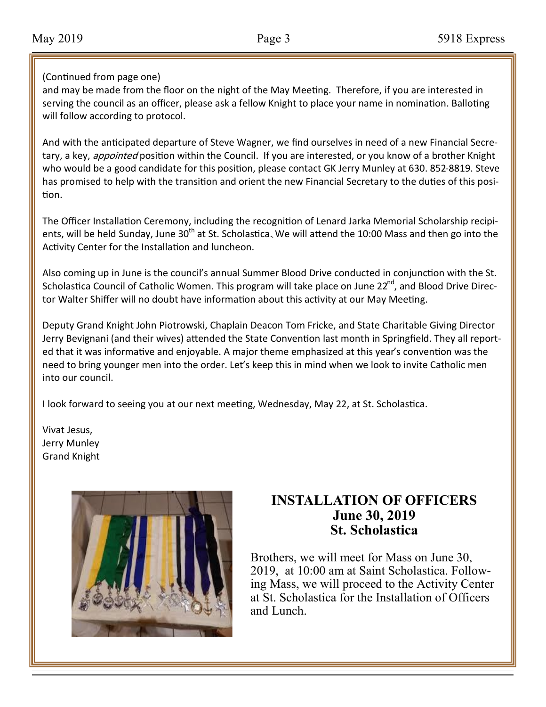#### (Continued from page one)

and may be made from the floor on the night of the May Meeting. Therefore, if you are interested in serving the council as an officer, please ask a fellow Knight to place your name in nomination. Balloting will follow according to protocol.

And with the anticipated departure of Steve Wagner, we find ourselves in need of a new Financial Secretary, a key, *appointed* position within the Council. If you are interested, or you know of a brother Knight who would be a good candidate for this position, please contact GK Jerry Munley at 630. 852-8819. Steve has promised to help with the transition and orient the new Financial Secretary to the duties of this position.

ents, will be held Sunday, June 30<sup>th</sup> at St. Scholastica. We will attend the 10:00 Mass and then go into the The Officer Installation Ceremony, including the recognition of Lenard Jarka Memorial Scholarship recipi-Activity Center for the Installation and luncheon.

Also coming up in June is the council's annual Summer Blood Drive conducted in conjunction with the St. Scholastica Council of Catholic Women. This program will take place on June 22<sup>nd</sup>, and Blood Drive Director Walter Shiffer will no doubt have information about this activity at our May Meeting.

Deputy Grand Knight John Piotrowski, Chaplain Deacon Tom Fricke, and State Charitable Giving Director Jerry Bevignani (and their wives) attended the State Convention last month in Springfield. They all reported that it was informative and enjoyable. A major theme emphasized at this year's convention was the need to bring younger men into the order. Let's keep this in mind when we look to invite Catholic men into our council.

I look forward to seeing you at our next meeting, Wednesday, May 22, at St. Scholastica.

Vivat Jesus, Jerry Munley Grand Knight



#### **INSTALLATION OF OFFICERS June 30, 2019 St. Scholastica**

Brothers, we will meet for Mass on June 30, 2019, at 10:00 am at Saint Scholastica. Following Mass, we will proceed to the Activity Center at St. Scholastica for the Installation of Officers and Lunch.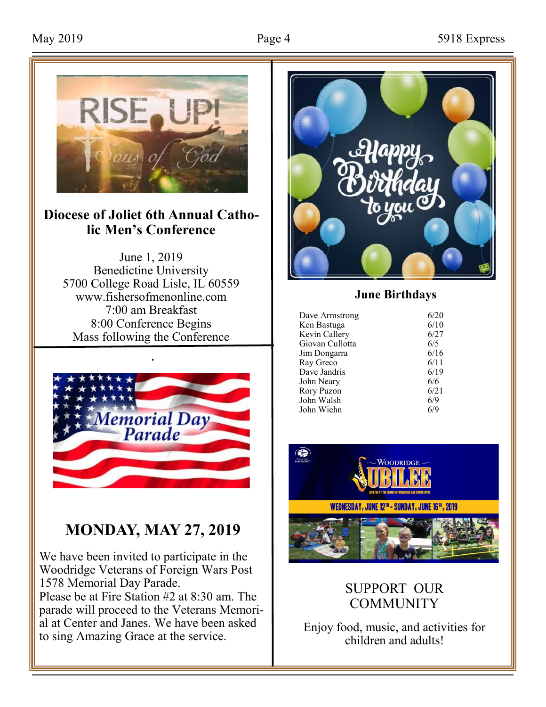

#### **Diocese of Joliet 6th Annual Catholic Men's Conference**

June 1, 2019 Benedictine University 5700 College Road Lisle, IL 60559 www.fishersofmenonline.com 7:00 am Breakfast 8:00 Conference Begins Mass following the Conference



### **MONDAY, MAY 27, 2019**

We have been invited to participate in the Woodridge Veterans of Foreign Wars Post 1578 Memorial Day Parade. Please be at Fire Station #2 at 8:30 am. The parade will proceed to the Veterans Memorial at Center and Janes. We have been asked to sing Amazing Grace at the service.



#### **June Birthdays**

| Dave Armstrong<br>Ken Bastuga<br>Kevin Callery<br>Giovan Cullotta<br>Jim Dongarra<br>Ray Greco<br>Dave Jandris<br>John Neary | 6/20<br>6/10<br>6/27<br>6/5<br>6/16<br>6/11<br>6/19<br>6/6 |
|------------------------------------------------------------------------------------------------------------------------------|------------------------------------------------------------|
|                                                                                                                              |                                                            |
|                                                                                                                              |                                                            |
| Rory Puzon                                                                                                                   | 6/21                                                       |
| John Walsh                                                                                                                   | 6/9                                                        |
| John Wiehn                                                                                                                   | 6/9                                                        |



#### SUPPORT OUR **COMMUNITY**

Enjoy food, music, and activities for children and adults!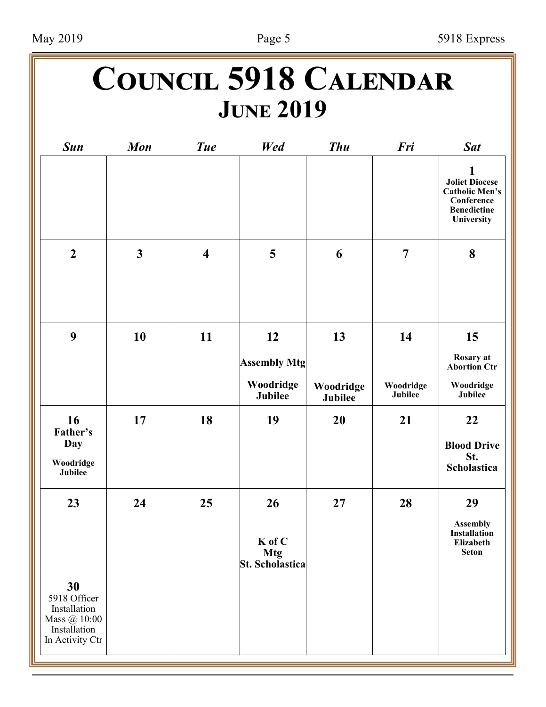# **Council 5918 Calendar June 2019**

| <b>Sun</b>                                                                            | <b>Mon</b>   | <b>Tue</b>              | Wed                                           | <b>Thu</b>           | Fri                  | <b>Sat</b>                                                                                            |
|---------------------------------------------------------------------------------------|--------------|-------------------------|-----------------------------------------------|----------------------|----------------------|-------------------------------------------------------------------------------------------------------|
|                                                                                       |              |                         |                                               |                      |                      | 1<br><b>Joliet Diocese</b><br><b>Catholic Men's</b><br>Conference<br><b>Benedictine</b><br>University |
| $\boldsymbol{2}$                                                                      | $\mathbf{3}$ | $\overline{\mathbf{4}}$ | 5                                             | 6                    | $\overline{7}$       | 8                                                                                                     |
| 9                                                                                     | 10           | 11                      | 12<br><b>Assembly Mtg</b>                     | 13                   | 14                   | 15<br>Rosary at<br><b>Abortion Ctr</b>                                                                |
|                                                                                       |              |                         | Woodridge<br>Jubilee                          | Woodridge<br>Jubilee | Woodridge<br>Jubilee | Woodridge<br>Jubilee                                                                                  |
| 16<br>Father's<br>Day<br>Woodridge<br>Jubilee                                         | 17           | 18                      | 19                                            | 20                   | 21                   | 22<br><b>Blood Drive</b><br>St.<br>Scholastica                                                        |
| 23                                                                                    | 24           | 25                      | 26<br>K of C<br><b>Mtg</b><br>St. Scholastica | 27                   | 28                   | 29<br><b>Assembly</b><br>Installation<br>Elizabeth<br><b>Seton</b>                                    |
| 30<br>5918 Officer<br>Installation<br>Mass @ 10:00<br>Installation<br>In Activity Ctr |              |                         |                                               |                      |                      |                                                                                                       |